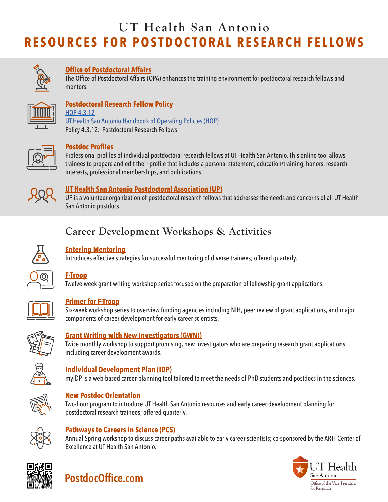

### **[Office of Postdoctoral Affairs](https://opa.uthscsa.edu)**

The Office of Postdoctoral Affairs (OPA) enhances the training environment for postdoctoral research fellows and mentors.



#### **Postdoctoral Research Fellow Policy** [HOP 4.3.12](https://uthealthsa.sharepoint.com/RAC/Documents/HOP/Chapter04/4.3.12.pdf)

[UT Health San Antonio Handbook of Operating Policies \(HOP\)](https://uthealthsa.sharepoint.com/RAC/Pages/HOP.aspx) Policy 4.3.12: Postdoctoral Research Fellows



#### **[Postdoc Profiles](https://opa.uthscsa.edu/postdoc-profiles)**

Professional profiles of individual postdoctoral research fellows at UT Health San Antonio. This online tool allows trainees to prepare and edit their profile that includes a personal statement, education/training, honors, research interests, professional memberships, and publications.



#### **[UT Health San Antonio Postdoctoral Association \(UP\)](https://opa.uthscsa.edu/up)**

UP is a volunteer organization of postdoctoral research fellows that addresses the needs and concerns of all UT Health San Antonio postdocs.

# **Career Development Workshops & Activities**



#### **[Entering Mentoring](https://opa.uthscsa.edu/entering-mentoring)**

Introduces effective strategies for successful mentoring of diverse trainees; offered quarterly.



# **[F-Troop](https://opa.uthscsa.edu/ftroop)**

Twelve-week grant writing workshop series focused on the preparation of fellowship grant applications.



#### **[Primer for F-Troop](https://opa.uthscsa.edu/primer)**

Six-week workshop series to overview funding agencies including NIH, peer review of grant applications, and major components of career development for early career scientists.



#### **[Grant Writing with New Investigators \(GWNI\)](https://opa.uthscsa.edu/GWNI)**

Twice monthly workshop to support promising, new investigators who are preparing research grant applications including career development awards.



#### **[Individual Development Plan](http://myidp.sciencecareers.org/) (IDP)**

myIDP is a web-based career-planning tool tailored to meet the needs of PhD students and postdocs in the sciences.



#### **[New Postdoc Orientation](https://opa.uthscsa.edu/npo)**

Two-hour program to introduce UT Health San Antonio resources and early career development planning for postdoctoral research trainees; offered quarterly.



#### **[Pathways to Careers in Science \(PCS\)](https://opa.uthscsa.edu/pcs)**

Annual Spring workshop to discuss career paths available to early career scientists; co-sponsored by the [ARTT Center of](https://uthscsa.edu/artt/)  [Excellence](https://uthscsa.edu/artt/) at UT Health San Antonio.





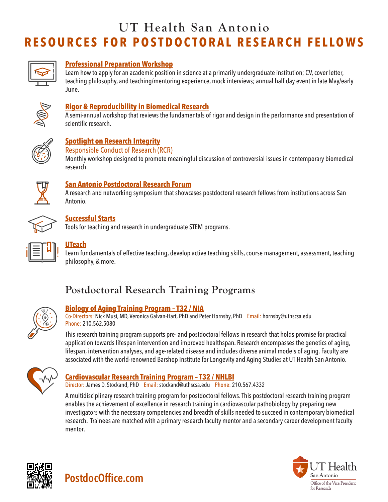

### **[Professional Preparation Workshop](https://opa.uthscsa.edu/saber/events)**

Learn how to apply for an academic position in science at a primarily undergraduate institution; CV, cover letter, teaching philosophy, and teaching/mentoring experience, mock interviews; annual half day event in late May/early June.



#### **[Rigor & Reproducibility in Biomedical Research](https://opa.uthscsa.edu/RRworkshop)**

A semi-annual workshop that reviews the fundamentals of rigor and design in the performance and presentation of scientific research.



## **[Spotlight on Research Integrity](https://opa.uthscsa.edu/spotlight)**

#### Responsible Conduct of Research (RCR)

Monthly workshop designed to promote meaningful discussion of controversial issues in contemporary biomedical research.



#### **[San Antonio Postdoctoral Research Forum](https://opa.uthscsa.edu/SAPRF)**

A research and networking symposium that showcases postdoctoral research fellows from institutions across San Antonio.



#### **[Successful Starts](https://opa.uthscsa.edu/saber/act)**

Tools for teaching and research in undergraduate STEM programs.



## **[UTeach](https://opa.uthscsa.edu/saber/act)**

Learn fundamentals of effective teaching, develop active teaching skills, course management, assessment, teaching philosophy, & more.

# **Postdoctoral Research Training Programs**



#### **[Biology of Aging Training Program – T32 / NIA](https://opa.uthscsa.edu/home-musi)**

**[PostdocOffice.com](http://PostdocOffice.com)**

Co-Directors: Nick Musi, MD, Veronica Galvan-Hart, PhD and Peter Hornsby, PhD Email: hornsby@uthscsa.edu Phone: 210.562.5080

This research training program supports pre- and postdoctoral fellows in research that holds promise for practical application towards lifespan intervention and improved healthspan. Research encompasses the genetics of aging, lifespan, intervention analyses, and age-related disease and includes diverse animal models of aging. Faculty are associated with the world-renowned Barshop Institute for Longevity and Aging Studies at UT Health San Antonio.



#### **[Cardiovascular Research Training Program – T32 / NHLBI](https://opa.uthscsa.edu/home-mcmanus)**

Director: James D. Stockand, PhD Email: stockand@uthscsa.edu Phone: 210.567.4332

A multidisciplinary research training program for postdoctoral fellows. This postdoctoral research training program enables the achievement of excellence in research training in cardiovascular pathobiology by preparing new investigators with the necessary competencies and breadth of skills needed to succeed in contemporary biomedical research. Trainees are matched with a primary research faculty mentor and a secondary career development faculty mentor.



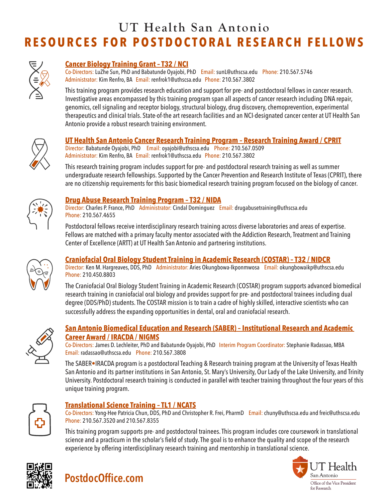

#### **[Cancer Biology Training Grant – T32 / NCI](https://opa.uthscsa.edu/home-sun)**

Co-Directors: LuZhe Sun, PhD and Babatunde Oyajobi, PhD Email: sunL@uthscsa.edu Phone: 210.567.5746 Administrator: Kim Renfro, BA Email: renfrok1@uthscsa.edu Phone: 210.567.3802

This training program provides research education and support for pre- and postdoctoral fellows in cancer research. Investigative areas encompassed by this training program span all aspects of cancer research including DNA repair, genomics, cell signaling and receptor biology, structural biology, drug discovery, chemoprevention, experimental therapeutics and clinical trials. State-of-the art research facilities and an NCI-designated cancer center at UT Health San Antonio provide a robust research training environment.



#### **[UT Health San Antonio Cancer Research Training Program – Research Training Award / CPRIT](https://opa.uthscsa.edu/home-oyajobi)**

Director: Babatunde Oyajobi, PhD Email: oyajobi@uthscsa.edu Phone: 210.567.0509 Administrator: Kim Renfro, BA Email: renfrok1@uthscsa.edu Phone: 210.567.3802

This research training program includes support for pre- and postdoctoral research training as well as summer undergraduate research fellowships. Supported by the Cancer Prevention and Research Institute of Texas (CPRIT), there are no citizenship requirements for this basic biomedical research training program focused on the biology of cancer.



#### **[Drug Abuse Research Training Program – T32 / NIDA](https://uthscsa.edu/ARTT/index.asp)**

Director: Charles P. France, PhD Administrator: Cindal Dominguez Email: drugabusetraining@uthscsa.edu Phone: 210.567.4655

Postdoctoral fellows receive interdisciplinary research training across diverse laboratories and areas of expertise. Fellows are matched with a primary faculty mentor associated with the Addiction Research, Treatment and Training Center of Excellence (ARTT) at UT Health San Antonio and partnering institutions.



#### **[Craniofacial Oral Biology Student Training in Academic Research \(COSTAR\) – T32 / NIDCR](https://opa.uthscsa.edu/home-henry)**

Director: Ken M. Hargreaves, DDS, PhD Administrator: Aries Okungbowa-Ikponmwosa Email: okungbowaikp@uthscsa.edu Phone: 210.450.8803

The Craniofacial Oral Biology Student Training in Academic Research (COSTAR) program supports advanced biomedical research training in craniofacial oral biology and provides support for pre- and postdoctoral trainees including dual degree (DDS/PhD) students. The COSTAR mission is to train a cadre of highly skilled, interactive scientists who can successfully address the expanding opportunities in dental, oral and craniofacial research.



#### **[San Antonio Biomedical Education and Research \(SABER\) – Institutional Research and Academic](https://opa.uthscsa.edu/saber/home)  [Career Award / IRACDA / NIGMS](https://opa.uthscsa.edu/saber/home)**

Co-Directors: James D. Lechleiter, PhD and Babatunde Oyajobi, PhD Interim Program Coordinator: Stephanie Radassao, MBA Email: radassao@uthscsa.edu Phone: 210.567.3808

The SABER•IRACDA program is a postdoctoral Teaching & Research training program at the University of Texas Health San Antonio and its partner institutions in San Antonio, St. Mary's University, Our Lady of the Lake University, and Trinity University. Postdoctoral research training is conducted in parallel with teacher training throughout the four years of this unique training program.



#### **[Translational Science Training – TL1 / NCATS](https://iims.uthscsa.edu/ed_tst_tl1_prog_description.html)**

Co-Directors: Yong-Hee Patricia Chun, DDS, PhD and Christopher R. Frei, PharmD Email: chuny@uthscsa.edu and freic@uthscsa.edu Phone: 210.567.3520 and 210.567.8355

This training program supports pre- and postdoctoral trainees. This program includes core coursework in translational science and a practicum in the scholar's field of study. The goal is to enhance the quality and scope of the research experience by offering interdisciplinary research training and mentorship in translational science.